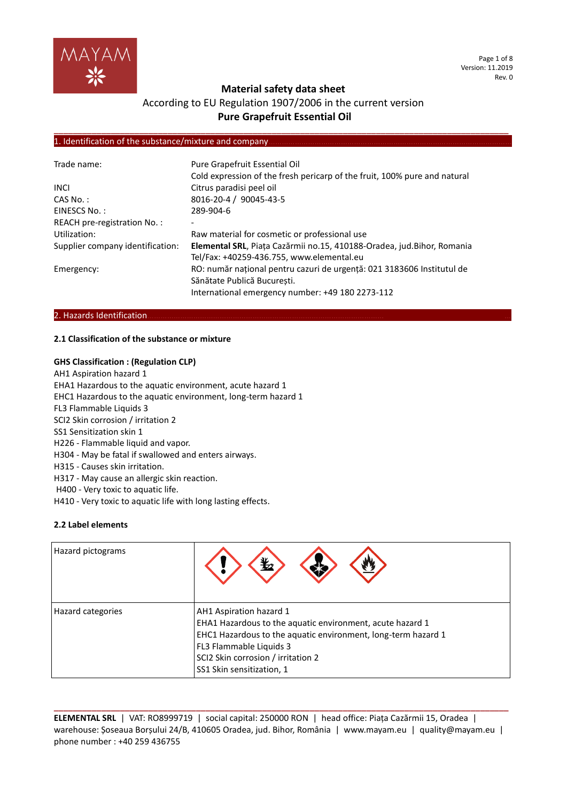

## **Material safety data sheet**

# According to EU Regulation 1907/2006 in the current version **Pure Grapefruit Essential Oil**

**\_\_\_\_\_\_\_\_\_\_\_\_\_\_\_\_\_\_\_\_\_\_\_\_\_\_\_\_\_\_\_\_\_\_\_\_\_\_\_\_\_\_\_\_\_\_\_\_\_\_\_\_\_\_\_\_\_\_\_\_\_\_\_\_\_\_\_\_\_\_\_\_\_\_\_\_\_\_\_\_\_\_\_\_\_\_\_\_\_\_\_\_\_\_\_\_**

#### 1. Identification of the substance/mixture and company

| Trade name:                      | Pure Grapefruit Essential Oil                                             |
|----------------------------------|---------------------------------------------------------------------------|
|                                  | Cold expression of the fresh pericarp of the fruit, 100% pure and natural |
| <b>INCL</b>                      | Citrus paradisi peel oil                                                  |
| $CAS No.$ :                      | 8016-20-4 / 90045-43-5                                                    |
| EINESCS No.:                     | 289-904-6                                                                 |
| REACH pre-registration No.:      |                                                                           |
| Utilization:                     | Raw material for cosmetic or professional use                             |
| Supplier company identification: | Elemental SRL, Piața Cazărmii no.15, 410188-Oradea, jud.Bihor, Romania    |
|                                  | Tel/Fax: +40259-436.755, www.elemental.eu                                 |
| Emergency:                       | RO: număr național pentru cazuri de urgență: 021 3183606 Institutul de    |
|                                  | Sănătate Publică București.                                               |
|                                  | International emergency number: +49 180 2273-112                          |

#### 2. Hazards Identification.

#### **2.1 Classification of the substance or mixture**

#### **GHS Classification : (Regulation CLP)**

- AH1 Aspiration hazard 1 EHA1 Hazardous to the aquatic environment, acute hazard 1 EHC1 Hazardous to the aquatic environment, long-term hazard 1 FL3 Flammable Liquids 3 SCI2 Skin corrosion / irritation 2 SS1 Sensitization skin 1 H226 - Flammable liquid and vapor. H304 - May be fatal if swallowed and enters airways. H315 - Causes skin irritation. H317 - May cause an allergic skin reaction. H400 - Very toxic to aquatic life.
- H410 Very toxic to aquatic life with long lasting effects.

#### **2.2 Label elements**

| Hazard pictograms | 亚                                                                                                                                                                                                                                                   |
|-------------------|-----------------------------------------------------------------------------------------------------------------------------------------------------------------------------------------------------------------------------------------------------|
| Hazard categories | AH1 Aspiration hazard 1<br>EHA1 Hazardous to the aquatic environment, acute hazard 1<br>EHC1 Hazardous to the aquatic environment, long-term hazard 1<br>FL3 Flammable Liquids 3<br>SCI2 Skin corrosion / irritation 2<br>SS1 Skin sensitization, 1 |

**ELEMENTAL SRL** | VAT: RO8999719 | social capital: 250000 RON | head office: Piața Cazărmii 15, Oradea | warehouse: Șoseaua Borșului 24/B, 410605 Oradea, jud. Bihor, România | www.mayam.eu | quality@mayam.eu | phone number : +40 259 436755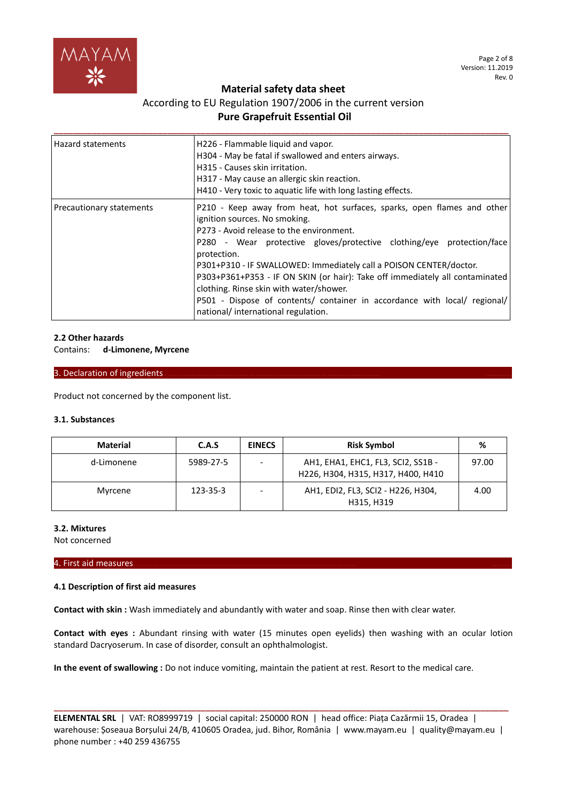

# **Material safety data sheet**

# According to EU Regulation 1907/2006 in the current version **Pure Grapefruit Essential Oil**

| <b>Hazard statements</b> | H226 - Flammable liquid and vapor.<br>H304 - May be fatal if swallowed and enters airways.<br>H315 - Causes skin irritation.<br>H317 - May cause an allergic skin reaction.<br>H410 - Very toxic to aquatic life with long lasting effects.                                                                                                                                                                                                                                                                                                                      |
|--------------------------|------------------------------------------------------------------------------------------------------------------------------------------------------------------------------------------------------------------------------------------------------------------------------------------------------------------------------------------------------------------------------------------------------------------------------------------------------------------------------------------------------------------------------------------------------------------|
| Precautionary statements | P210 - Keep away from heat, hot surfaces, sparks, open flames and other<br>ignition sources. No smoking.<br>P273 - Avoid release to the environment.<br>P280 - Wear protective gloves/protective clothing/eye protection/face<br>protection.<br>P301+P310 - IF SWALLOWED: Immediately call a POISON CENTER/doctor.<br>P303+P361+P353 - IF ON SKIN (or hair): Take off immediately all contaminated<br>clothing. Rinse skin with water/shower.<br>P501 - Dispose of contents/ container in accordance with local/ regional/<br>national/international regulation. |

## **2.2 Other hazards**

Contains: **d-Limonene, Myrcene**

#### 3. Declaration of ingredients.

Product not concerned by the component list.

#### **3.1. Substances**

| <b>Material</b> | C.A.S     | <b>EINECS</b> | <b>Risk Symbol</b>                                                       | %     |
|-----------------|-----------|---------------|--------------------------------------------------------------------------|-------|
| d-Limonene      | 5989-27-5 |               | AH1, EHA1, EHC1, FL3, SCI2, SS1B -<br>H226, H304, H315, H317, H400, H410 | 97.00 |
| Myrcene         | 123-35-3  |               | AH1, EDI2, FL3, SCI2 - H226, H304,<br>H315, H319                         | 4.00  |

#### **3.2. Mixtures**

Not concerned

#### 4. First aid measures………………………………………………………………………………………… ………

## **4.1 Description of first aid measures**

**Contact with skin :** Wash immediately and abundantly with water and soap. Rinse then with clear water.

**Contact with eyes :** Abundant rinsing with water (15 minutes open eyelids) then washing with an ocular lotion standard Dacryoserum. In case of disorder, consult an ophthalmologist.

**In the event of swallowing :** Do not induce vomiting, maintain the patient at rest. Resort to the medical care.

**ELEMENTAL SRL** | VAT: RO8999719 | social capital: 250000 RON | head office: Piața Cazărmii 15, Oradea | warehouse: Șoseaua Borșului 24/B, 410605 Oradea, jud. Bihor, România | www.mayam.eu | quality@mayam.eu | phone number : +40 259 436755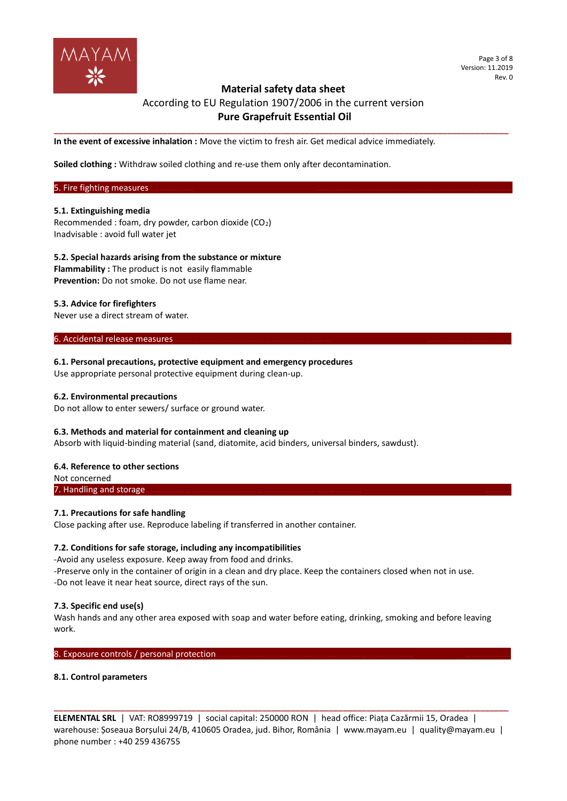

# **Material safety data sheet**  According to EU Regulation 1907/2006 in the current version **Pure Grapefruit Essential Oil**

**\_\_\_\_\_\_\_\_\_\_\_\_\_\_\_\_\_\_\_\_\_\_\_\_\_\_\_\_\_\_\_\_\_\_\_\_\_\_\_\_\_\_\_\_\_\_\_\_\_\_\_\_\_\_\_\_\_\_\_\_\_\_\_\_\_\_\_\_\_\_\_\_\_\_\_\_\_\_\_\_\_\_\_\_\_\_\_\_\_\_\_\_\_\_\_\_**

**In the event of excessive inhalation :** Move the victim to fresh air. Get medical advice immediately.

**Soiled clothing :** Withdraw soiled clothing and re-use them only after decontamination.

## 5. Fire fighting measures.

#### **5.1. Extinguishing media**

Recommended : foam, dry powder, carbon dioxide (CO2) Inadvisable : avoid full water jet

# **5.2. Special hazards arising from the substance or mixture**

**Flammability :** The product is not easily flammable **Prevention:** Do not smoke. Do not use flame near.

#### **5.3. Advice for firefighters**

Never use a direct stream of water.

6. Accidental release measures.

#### **6.1. Personal precautions, protective equipment and emergency procedures**

Use appropriate personal protective equipment during clean-up.

#### **6.2. Environmental precautions**

Do not allow to enter sewers/ surface or ground water.

#### **6.3. Methods and material for containment and cleaning up**

Absorb with liquid-binding material (sand, diatomite, acid binders, universal binders, sawdust).

#### **6.4. Reference to other sections**

Not concerned 7. Handling and storage

## **7.1. Precautions for safe handling**

Close packing after use. Reproduce labeling if transferred in another container.

## **7.2. Conditions for safe storage, including any incompatibilities**

-Avoid any useless exposure. Keep away from food and drinks. -Preserve only in the container of origin in a clean and dry place. Keep the containers closed when not in use. -Do not leave it near heat source, direct rays of the sun.

## **7.3. Specific end use(s)**

Wash hands and any other area exposed with soap and water before eating, drinking, smoking and before leaving work.

8. Exposure controls / personal protection.

#### **8.1. Control parameters**

**ELEMENTAL SRL** | VAT: RO8999719 | social capital: 250000 RON | head office: Piața Cazărmii 15, Oradea | warehouse: Șoseaua Borșului 24/B, 410605 Oradea, jud. Bihor, România | www.mayam.eu | quality@mayam.eu | phone number : +40 259 436755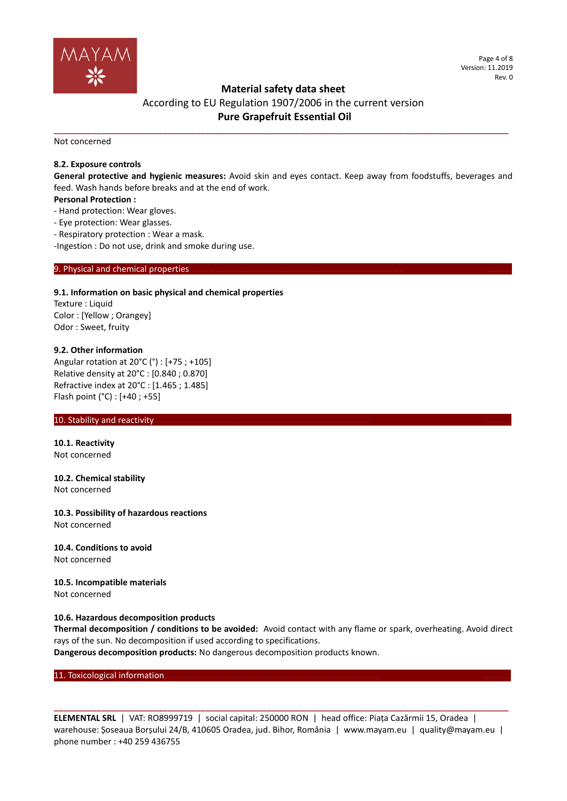

# **Material safety data sheet**

# According to EU Regulation 1907/2006 in the current version **Pure Grapefruit Essential Oil**

**\_\_\_\_\_\_\_\_\_\_\_\_\_\_\_\_\_\_\_\_\_\_\_\_\_\_\_\_\_\_\_\_\_\_\_\_\_\_\_\_\_\_\_\_\_\_\_\_\_\_\_\_\_\_\_\_\_\_\_\_\_\_\_\_\_\_\_\_\_\_\_\_\_\_\_\_\_\_\_\_\_\_\_\_\_\_\_\_\_\_\_\_\_\_\_\_**

Not concerned

## **8.2. Exposure controls**

**General protective and hygienic measures:** Avoid skin and eyes contact. Keep away from foodstuffs, beverages and feed. Wash hands before breaks and at the end of work.

#### **Personal Protection :**

- Hand protection: Wear gloves.
- Eye protection: Wear glasses.
- Respiratory protection : Wear a mask.

-Ingestion : Do not use, drink and smoke during use.

#### 9. Physical and chemical properties

#### **9.1. Information on basic physical and chemical properties**

Texture : Liquid Color : [Yellow ; Orangey] Odor : Sweet, fruity

#### **9.2. Other information**

Angular rotation at 20°C (°) : [+75 ; +105] Relative density at 20°C : [0.840 ; 0.870] Refractive index at 20°C : [1.465 ; 1.485] Flash point (°C) : [+40 ; +55]

#### 10. Stability and reactivity.

**10.1. Reactivity** Not concerned

**10.2. Chemical stability** Not concerned

**10.3. Possibility of hazardous reactions** Not concerned

**10.4. Conditions to avoid** Not concerned

**10.5. Incompatible materials** Not concerned

## **10.6. Hazardous decomposition products**

**Thermal decomposition / conditions to be avoided:** Avoid contact with any flame or spark, overheating. Avoid direct rays of the sun. No decomposition if used according to specifications.

**Dangerous decomposition products:** No dangerous decomposition products known.

11. Toxicological information.

**ELEMENTAL SRL** | VAT: RO8999719 | social capital: 250000 RON | head office: Piața Cazărmii 15, Oradea | warehouse: Șoseaua Borșului 24/B, 410605 Oradea, jud. Bihor, România | www.mayam.eu | quality@mayam.eu | phone number : +40 259 436755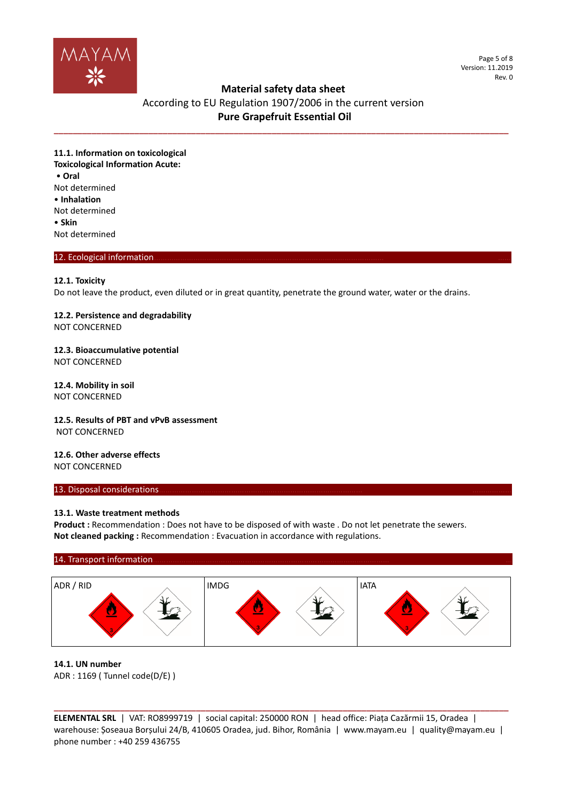

Page 5 of 8 Version: 11.2019 Rev. 0

## **Material safety data sheet**

# According to EU Regulation 1907/2006 in the current version **Pure Grapefruit Essential Oil**

**\_\_\_\_\_\_\_\_\_\_\_\_\_\_\_\_\_\_\_\_\_\_\_\_\_\_\_\_\_\_\_\_\_\_\_\_\_\_\_\_\_\_\_\_\_\_\_\_\_\_\_\_\_\_\_\_\_\_\_\_\_\_\_\_\_\_\_\_\_\_\_\_\_\_\_\_\_\_\_\_\_\_\_\_\_\_\_\_\_\_\_\_\_\_\_\_**

**11.1. Information on toxicological Toxicological Information Acute:** • **Oral** Not determined • **Inhalation** Not determined • **Skin** Not determined

## 12. Ecological information.

#### **12.1. Toxicity**

Do not leave the product, even diluted or in great quantity, penetrate the ground water, water or the drains.

#### **12.2. Persistence and degradability** NOT CONCERNED

**12.3. Bioaccumulative potential** NOT CONCERNED

**12.4. Mobility in soil** NOT CONCERNED

**12.5. Results of PBT and vPvB assessment** NOT CONCERNED

**12.6. Other adverse effects** NOT CONCERNED

#### 13. Disposal considerations.

#### **13.1. Waste treatment methods**

Product : Recommendation : Does not have to be disposed of with waste . Do not let penetrate the sewers. **Not cleaned packing :** Recommendation : Evacuation in accordance with regulations.

#### 14. Transport information



#### **14.1. UN number**

ADR : 1169 ( Tunnel code(D/E) )

**ELEMENTAL SRL** | VAT: RO8999719 | social capital: 250000 RON | head office: Piața Cazărmii 15, Oradea | warehouse: Șoseaua Borșului 24/B, 410605 Oradea, jud. Bihor, România | www.mayam.eu | quality@mayam.eu | phone number : +40 259 436755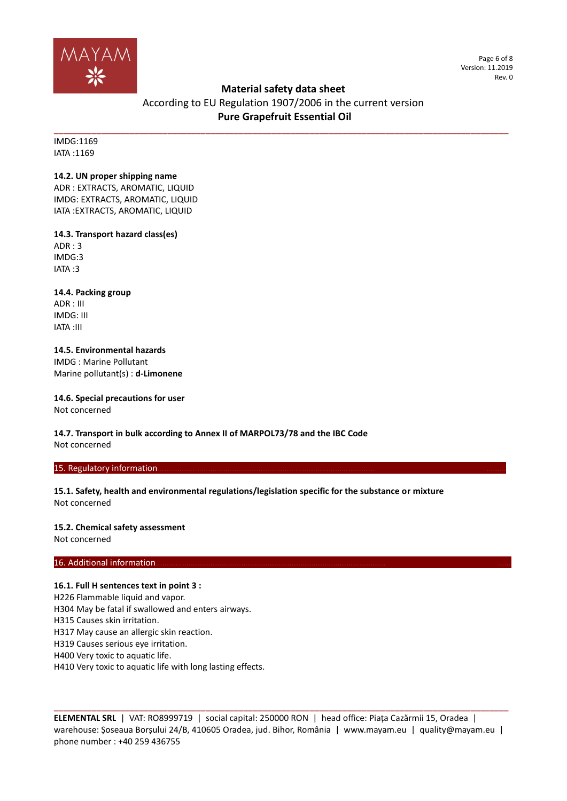

Page 6 of 8 Version: 11.2019 Rev. 0

# **Material safety data sheet**

# According to EU Regulation 1907/2006 in the current version **Pure Grapefruit Essential Oil**

**\_\_\_\_\_\_\_\_\_\_\_\_\_\_\_\_\_\_\_\_\_\_\_\_\_\_\_\_\_\_\_\_\_\_\_\_\_\_\_\_\_\_\_\_\_\_\_\_\_\_\_\_\_\_\_\_\_\_\_\_\_\_\_\_\_\_\_\_\_\_\_\_\_\_\_\_\_\_\_\_\_\_\_\_\_\_\_\_\_\_\_\_\_\_\_\_**

IMDG:1169 IATA :1169

## **14.2. UN proper shipping name**

ADR : EXTRACTS, AROMATIC, LIQUID IMDG: EXTRACTS, AROMATIC, LIQUID IATA :EXTRACTS, AROMATIC, LIQUID

## **14.3. Transport hazard class(es)**

ADR : 3 IMDG:3 IATA :3

# **14.4. Packing group**

ADR : III IMDG: III IATA :III

## **14.5. Environmental hazards** IMDG : Marine Pollutant Marine pollutant(s) : **d-Limonene**

**14.6. Special precautions for user** Not concerned

**14.7. Transport in bulk according to Annex II of MARPOL73/78 and the IBC Code** Not concerned

## 15. Regulatory information.

**15.1. Safety, health and environmental regulations/legislation specific for the substance or mixture** Not concerned

# **15.2. Chemical safety assessment**

Not concerned

## 16. Additional information

## **16.1. Full H sentences text in point 3 :**

H226 Flammable liquid and vapor.

H304 May be fatal if swallowed and enters airways.

H315 Causes skin irritation.

H317 May cause an allergic skin reaction.

H319 Causes serious eye irritation.

H400 Very toxic to aquatic life.

H410 Very toxic to aquatic life with long lasting effects.

**ELEMENTAL SRL** | VAT: RO8999719 | social capital: 250000 RON | head office: Piața Cazărmii 15, Oradea | warehouse: Șoseaua Borșului 24/B, 410605 Oradea, jud. Bihor, România | www.mayam.eu | quality@mayam.eu | phone number : +40 259 436755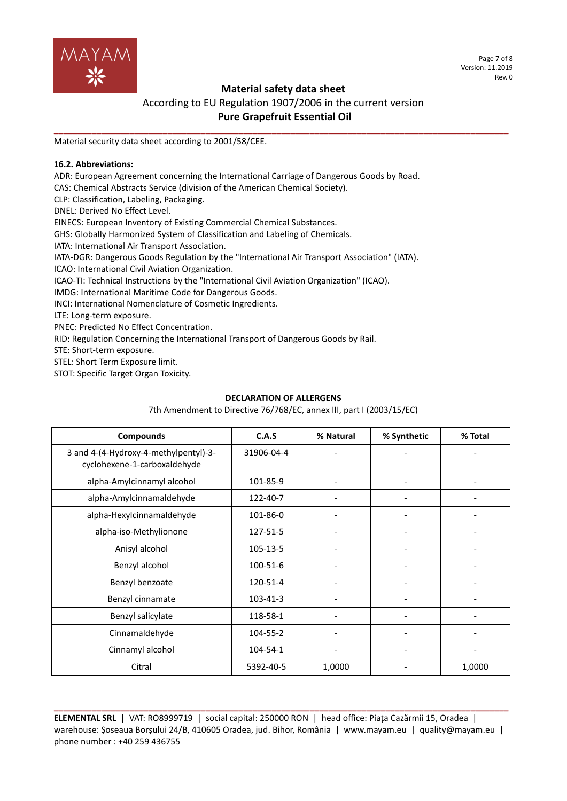

Page 7 of 8 Version: 11.2019 Rev. 0

# **Material safety data sheet**

# According to EU Regulation 1907/2006 in the current version **Pure Grapefruit Essential Oil**

**\_\_\_\_\_\_\_\_\_\_\_\_\_\_\_\_\_\_\_\_\_\_\_\_\_\_\_\_\_\_\_\_\_\_\_\_\_\_\_\_\_\_\_\_\_\_\_\_\_\_\_\_\_\_\_\_\_\_\_\_\_\_\_\_\_\_\_\_\_\_\_\_\_\_\_\_\_\_\_\_\_\_\_\_\_\_\_\_\_\_\_\_\_\_\_\_**

Material security data sheet according to 2001/58/CEE.

## **16.2. Abbreviations:**

ADR: European Agreement concerning the International Carriage of Dangerous Goods by Road.

CAS: Chemical Abstracts Service (division of the American Chemical Society).

CLP: Classification, Labeling, Packaging.

DNEL: Derived No Effect Level.

EINECS: European Inventory of Existing Commercial Chemical Substances.

GHS: Globally Harmonized System of Classification and Labeling of Chemicals.

IATA: International Air Transport Association.

IATA-DGR: Dangerous Goods Regulation by the "International Air Transport Association" (IATA).

ICAO: International Civil Aviation Organization.

ICAO-TI: Technical Instructions by the "International Civil Aviation Organization" (ICAO).

IMDG: International Maritime Code for Dangerous Goods.

INCI: International Nomenclature of Cosmetic Ingredients.

LTE: Long-term exposure.

PNEC: Predicted No Effect Concentration.

RID: Regulation Concerning the International Transport of Dangerous Goods by Rail.

STE: Short-term exposure.

STEL: Short Term Exposure limit.

STOT: Specific Target Organ Toxicity.

## **DECLARATION OF ALLERGENS**

7th Amendment to Directive 76/768/EC, annex III, part I (2003/15/EC)

| <b>Compounds</b>                                                      | C.A.S      | % Natural | % Synthetic | % Total |
|-----------------------------------------------------------------------|------------|-----------|-------------|---------|
| 3 and 4-(4-Hydroxy-4-methylpentyl)-3-<br>cyclohexene-1-carboxaldehyde | 31906-04-4 |           |             |         |
| alpha-Amylcinnamyl alcohol                                            | 101-85-9   |           |             |         |
| alpha-Amylcinnamaldehyde                                              | 122-40-7   |           |             |         |
| alpha-Hexylcinnamaldehyde                                             | 101-86-0   |           |             |         |
| alpha-iso-Methylionone                                                | 127-51-5   |           |             |         |
| Anisyl alcohol                                                        | 105-13-5   |           |             |         |
| Benzyl alcohol                                                        | 100-51-6   |           |             |         |
| Benzyl benzoate                                                       | 120-51-4   |           |             |         |
| Benzyl cinnamate                                                      | 103-41-3   |           |             |         |
| Benzyl salicylate                                                     | 118-58-1   |           |             |         |
| Cinnamaldehyde                                                        | 104-55-2   |           |             |         |
| Cinnamyl alcohol                                                      | 104-54-1   |           |             |         |
| Citral                                                                | 5392-40-5  | 1,0000    |             | 1,0000  |

**ELEMENTAL SRL** | VAT: RO8999719 | social capital: 250000 RON | head office: Piața Cazărmii 15, Oradea | warehouse: Șoseaua Borșului 24/B, 410605 Oradea, jud. Bihor, România | www.mayam.eu | quality@mayam.eu | phone number : +40 259 436755